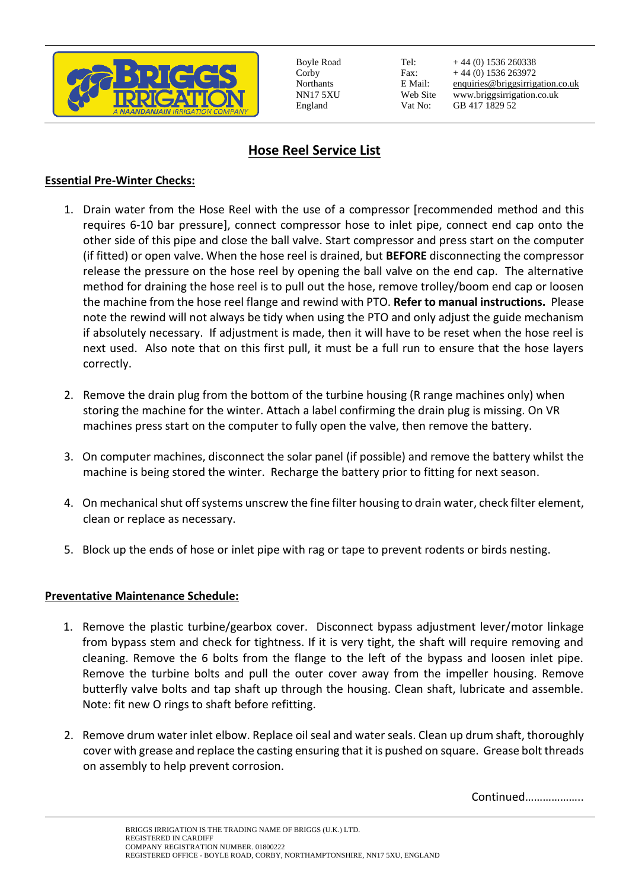

Boyle Road Corby Northants NN17 5XU England

Tel: Fax: E Mail: Web Site Vat No:

+ 44 (0) 1536 260338 + 44 (0) 1536 263972 [enquiries@briggsirrigation.co.uk](mailto:enquiries@briggsirrigation.co.uk) www.briggsirrigation.co.uk GB 417 1829 52

# **Hose Reel Service List**

## **Essential Pre-Winter Checks:**

- 1. Drain water from the Hose Reel with the use of a compressor [recommended method and this requires 6-10 bar pressure], connect compressor hose to inlet pipe, connect end cap onto the other side of this pipe and close the ball valve. Start compressor and press start on the computer (if fitted) or open valve. When the hose reel is drained, but **BEFORE** disconnecting the compressor release the pressure on the hose reel by opening the ball valve on the end cap. The alternative method for draining the hose reel is to pull out the hose, remove trolley/boom end cap or loosen the machine from the hose reel flange and rewind with PTO. **Refer to manual instructions.** Please note the rewind will not always be tidy when using the PTO and only adjust the guide mechanism if absolutely necessary. If adjustment is made, then it will have to be reset when the hose reel is next used. Also note that on this first pull, it must be a full run to ensure that the hose layers correctly.
- 2. Remove the drain plug from the bottom of the turbine housing (R range machines only) when storing the machine for the winter. Attach a label confirming the drain plug is missing. On VR machines press start on the computer to fully open the valve, then remove the battery.
- 3. On computer machines, disconnect the solar panel (if possible) and remove the battery whilst the machine is being stored the winter. Recharge the battery prior to fitting for next season.
- 4. On mechanical shut off systems unscrew the fine filter housing to drain water, check filter element, clean or replace as necessary.
- 5. Block up the ends of hose or inlet pipe with rag or tape to prevent rodents or birds nesting.

## **Preventative Maintenance Schedule:**

- 1. Remove the plastic turbine/gearbox cover. Disconnect bypass adjustment lever/motor linkage from bypass stem and check for tightness. If it is very tight, the shaft will require removing and cleaning. Remove the 6 bolts from the flange to the left of the bypass and loosen inlet pipe. Remove the turbine bolts and pull the outer cover away from the impeller housing. Remove butterfly valve bolts and tap shaft up through the housing. Clean shaft, lubricate and assemble. Note: fit new O rings to shaft before refitting.
- 2. Remove drum water inlet elbow. Replace oil seal and water seals. Clean up drum shaft, thoroughly cover with grease and replace the casting ensuring that it is pushed on square. Grease bolt threads on assembly to help prevent corrosion.

Continued………………..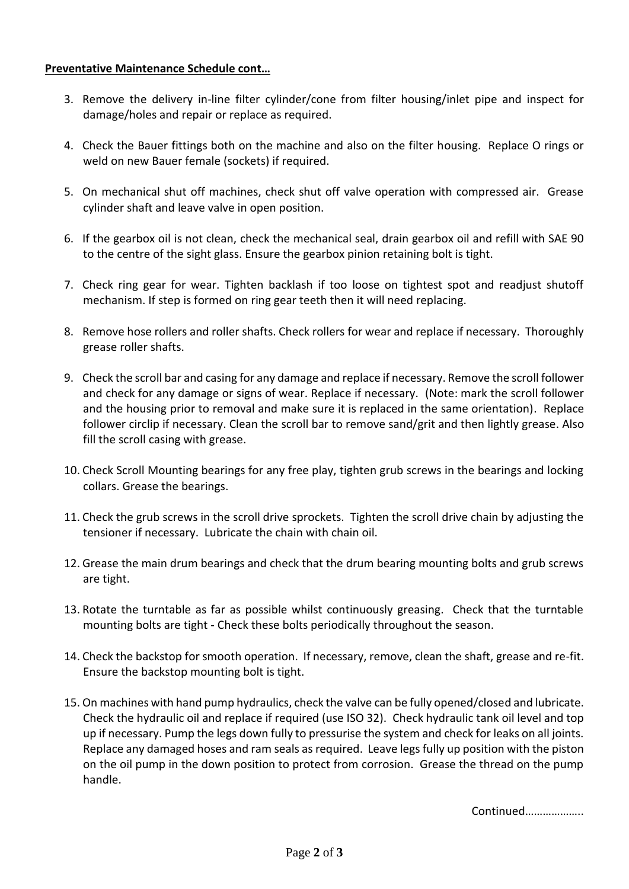### **Preventative Maintenance Schedule cont…**

- 3. Remove the delivery in-line filter cylinder/cone from filter housing/inlet pipe and inspect for damage/holes and repair or replace as required.
- 4. Check the Bauer fittings both on the machine and also on the filter housing. Replace O rings or weld on new Bauer female (sockets) if required.
- 5. On mechanical shut off machines, check shut off valve operation with compressed air. Grease cylinder shaft and leave valve in open position.
- 6. If the gearbox oil is not clean, check the mechanical seal, drain gearbox oil and refill with SAE 90 to the centre of the sight glass. Ensure the gearbox pinion retaining bolt is tight.
- 7. Check ring gear for wear. Tighten backlash if too loose on tightest spot and readjust shutoff mechanism. If step is formed on ring gear teeth then it will need replacing.
- 8. Remove hose rollers and roller shafts. Check rollers for wear and replace if necessary. Thoroughly grease roller shafts.
- 9. Check the scroll bar and casing for any damage and replace if necessary. Remove the scroll follower and check for any damage or signs of wear. Replace if necessary. (Note: mark the scroll follower and the housing prior to removal and make sure it is replaced in the same orientation). Replace follower circlip if necessary. Clean the scroll bar to remove sand/grit and then lightly grease. Also fill the scroll casing with grease.
- 10. Check Scroll Mounting bearings for any free play, tighten grub screws in the bearings and locking collars. Grease the bearings.
- 11. Check the grub screws in the scroll drive sprockets. Tighten the scroll drive chain by adjusting the tensioner if necessary. Lubricate the chain with chain oil.
- 12. Grease the main drum bearings and check that the drum bearing mounting bolts and grub screws are tight.
- 13. Rotate the turntable as far as possible whilst continuously greasing. Check that the turntable mounting bolts are tight - Check these bolts periodically throughout the season.
- 14. Check the backstop for smooth operation. If necessary, remove, clean the shaft, grease and re-fit. Ensure the backstop mounting bolt is tight.
- 15. On machines with hand pump hydraulics, check the valve can be fully opened/closed and lubricate. Check the hydraulic oil and replace if required (use ISO 32). Check hydraulic tank oil level and top up if necessary. Pump the legs down fully to pressurise the system and check for leaks on all joints. Replace any damaged hoses and ram seals as required. Leave legs fully up position with the piston on the oil pump in the down position to protect from corrosion. Grease the thread on the pump handle.

Continued………………..